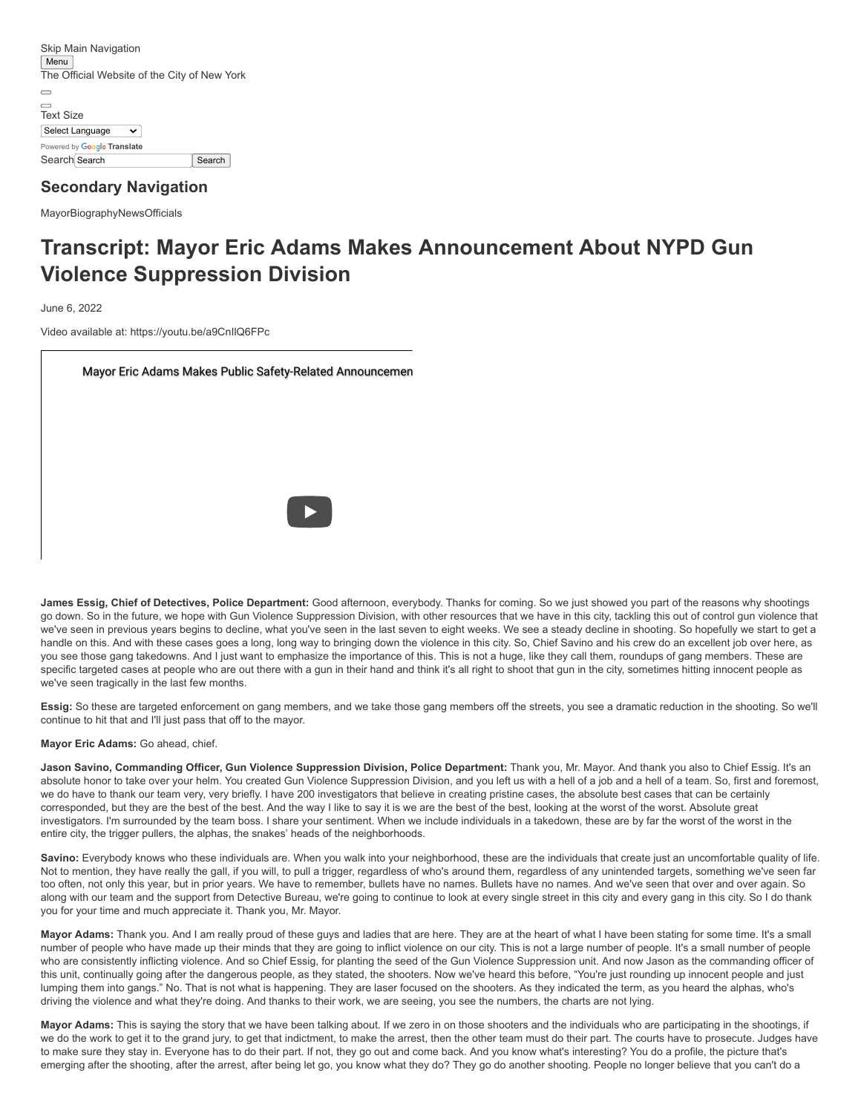[Skip Main Navigation](#page-0-0) **Menu** The Official Website of the City of New York  $\qquad \qquad$ [Text Size](https://www1.nyc.gov/home/text-size.page) Select Language  $\overline{\mathbf{v}}$ Powered by **Google [Translate](https://translate.google.com/)** Search Search Search Search

# **Secondary Navigation**

<span id="page-0-0"></span>[Mayor](https://www1.nyc.gov/office-of-the-mayor/index.page)[Biography](https://www1.nyc.gov/office-of-the-mayor/bio.page)[News](https://www1.nyc.gov/office-of-the-mayor/news.page)[Officials](https://www1.nyc.gov/office-of-the-mayor/admin-officials.page)

# **Transcript: Mayor Eric Adams Makes Announcement About NYPD Gun Violence Suppression Division**

June 6, 2022

Video available at: <https://youtu.be/a9CnIlQ6FPc>

[Mayor Eric Adams Makes Public Safety-Related Announcemen](https://www.youtube.com/watch?v=a9CnIlQ6FPc)

**James Essig, Chief of Detectives, Police Department:** Good afternoon, everybody. Thanks for coming. So we just showed you part of the reasons why shootings go down. So in the future, we hope with Gun Violence Suppression Division, with other resources that we have in this city, tackling this out of control gun violence that we've seen in previous years begins to decline, what you've seen in the last seven to eight weeks. We see a steady decline in shooting. So hopefully we start to get a handle on this. And with these cases goes a long, long way to bringing down the violence in this city. So, Chief Savino and his crew do an excellent job over here, as you see those gang takedowns. And I just want to emphasize the importance of this. This is not a huge, like they call them, roundups of gang members. These are specific targeted cases at people who are out there with a gun in their hand and think it's all right to shoot that gun in the city, sometimes hitting innocent people as we've seen tragically in the last few months.

**Essig:** So these are targeted enforcement on gang members, and we take those gang members off the streets, you see a dramatic reduction in the shooting. So we'll continue to hit that and I'll just pass that off to the mayor.

**Mayor Eric Adams:** Go ahead, chief.

Jason Savino, Commanding Officer, Gun Violence Suppression Division, Police Department: Thank you, Mr. Mayor. And thank you also to Chief Essig. It's an absolute honor to take over your helm. You created Gun Violence Suppression Division, and you left us with a hell of a job and a hell of a team. So, first and foremost, we do have to thank our team very, very briefly. I have 200 investigators that believe in creating pristine cases, the absolute best cases that can be certainly corresponded, but they are the best of the best. And the way I like to say it is we are the best of the best, looking at the worst of the worst. Absolute great investigators. I'm surrounded by the team boss. I share your sentiment. When we include individuals in a takedown, these are by far the worst of the worst in the entire city, the trigger pullers, the alphas, the snakes' heads of the neighborhoods.

Savino: Everybody knows who these individuals are. When you walk into your neighborhood, these are the individuals that create just an uncomfortable quality of life. Not to mention, they have really the gall, if you will, to pull a trigger, regardless of who's around them, regardless of any unintended targets, something we've seen far too often, not only this year, but in prior years. We have to remember, bullets have no names. Bullets have no names. And we've seen that over and over again. So along with our team and the support from Detective Bureau, we're going to continue to look at every single street in this city and every gang in this city. So I do thank you for your time and much appreciate it. Thank you, Mr. Mayor.

**Mayor Adams:** Thank you. And I am really proud of these guys and ladies that are here. They are at the heart of what I have been stating for some time. It's a small number of people who have made up their minds that they are going to inflict violence on our city. This is not a large number of people. It's a small number of people who are consistently inflicting violence. And so Chief Essig, for planting the seed of the Gun Violence Suppression unit. And now Jason as the commanding officer of this unit, continually going after the dangerous people, as they stated, the shooters. Now we've heard this before, "You're just rounding up innocent people and just lumping them into gangs." No. That is not what is happening. They are laser focused on the shooters. As they indicated the term, as you heard the alphas, who's driving the violence and what they're doing. And thanks to their work, we are seeing, you see the numbers, the charts are not lying.

**Mayor Adams:** This is saying the story that we have been talking about. If we zero in on those shooters and the individuals who are participating in the shootings, if we do the work to get it to the grand jury, to get that indictment, to make the arrest, then the other team must do their part. The courts have to prosecute. Judges have to make sure they stay in. Everyone has to do their part. If not, they go out and come back. And you know what's interesting? You do a profile, the picture that's emerging after the shooting, after the arrest, after being let go, you know what they do? They go do another shooting. People no longer believe that you can't do a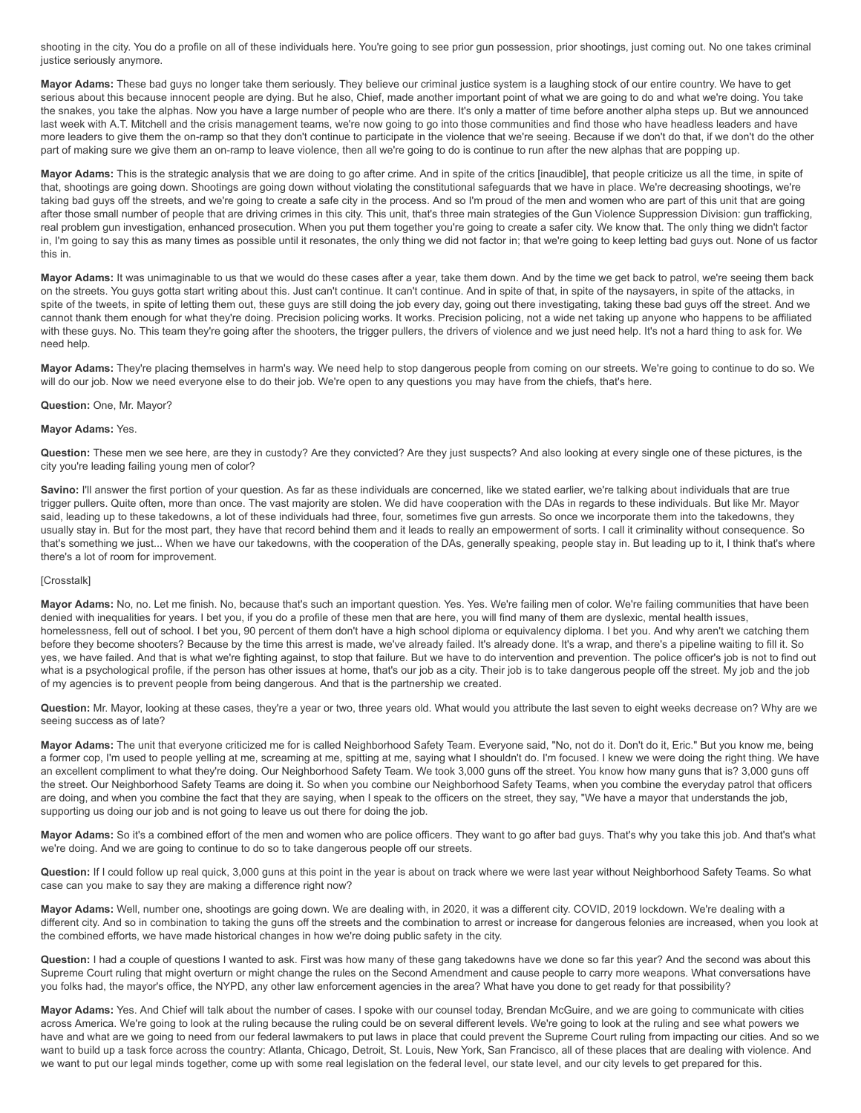shooting in the city. You do a profile on all of these individuals here. You're going to see prior gun possession, prior shootings, just coming out. No one takes criminal justice seriously anymore.

**Mayor Adams:** These bad guys no longer take them seriously. They believe our criminal justice system is a laughing stock of our entire country. We have to get serious about this because innocent people are dying. But he also, Chief, made another important point of what we are going to do and what we're doing. You take the snakes, you take the alphas. Now you have a large number of people who are there. It's only a matter of time before another alpha steps up. But we announced last week with A.T. Mitchell and the crisis management teams, we're now going to go into those communities and find those who have headless leaders and have more leaders to give them the on-ramp so that they don't continue to participate in the violence that we're seeing. Because if we don't do that, if we don't do the other part of making sure we give them an on-ramp to leave violence, then all we're going to do is continue to run after the new alphas that are popping up.

**Mayor Adams:** This is the strategic analysis that we are doing to go after crime. And in spite of the critics [inaudible], that people criticize us all the time, in spite of that, shootings are going down. Shootings are going down without violating the constitutional safeguards that we have in place. We're decreasing shootings, we're taking bad guys off the streets, and we're going to create a safe city in the process. And so I'm proud of the men and women who are part of this unit that are going after those small number of people that are driving crimes in this city. This unit, that's three main strategies of the Gun Violence Suppression Division: gun trafficking, real problem gun investigation, enhanced prosecution. When you put them together you're going to create a safer city. We know that. The only thing we didn't factor in, I'm going to say this as many times as possible until it resonates, the only thing we did not factor in; that we're going to keep letting bad guys out. None of us factor this in.

Mayor Adams: It was unimaginable to us that we would do these cases after a year, take them down. And by the time we get back to patrol, we're seeing them back on the streets. You guys gotta start writing about this. Just can't continue. It can't continue. And in spite of that, in spite of the naysayers, in spite of the attacks, in spite of the tweets, in spite of letting them out, these guys are still doing the job every day, going out there investigating, taking these bad guys off the street. And we cannot thank them enough for what they're doing. Precision policing works. It works. Precision policing, not a wide net taking up anyone who happens to be affiliated with these guys. No. This team they're going after the shooters, the trigger pullers, the drivers of violence and we just need help. It's not a hard thing to ask for. We need help.

**Mayor Adams:** They're placing themselves in harm's way. We need help to stop dangerous people from coming on our streets. We're going to continue to do so. We will do our job. Now we need everyone else to do their job. We're open to any questions you may have from the chiefs, that's here.

#### **Question:** One, Mr. Mayor?

#### **Mayor Adams:** Yes.

**Question:** These men we see here, are they in custody? Are they convicted? Are they just suspects? And also looking at every single one of these pictures, is the city you're leading failing young men of color?

Savino: I'll answer the first portion of your question. As far as these individuals are concerned, like we stated earlier, we're talking about individuals that are true trigger pullers. Quite often, more than once. The vast majority are stolen. We did have cooperation with the DAs in regards to these individuals. But like Mr. Mayor said, leading up to these takedowns, a lot of these individuals had three, four, sometimes five gun arrests. So once we incorporate them into the takedowns, they usually stay in. But for the most part, they have that record behind them and it leads to really an empowerment of sorts. I call it criminality without consequence. So that's something we just... When we have our takedowns, with the cooperation of the DAs, generally speaking, people stay in. But leading up to it, I think that's where there's a lot of room for improvement.

#### [Crosstalk]

Mayor Adams: No, no. Let me finish. No, because that's such an important question. Yes. Yes. We're failing men of color. We're failing communities that have been denied with inequalities for years. I bet you, if you do a profile of these men that are here, you will find many of them are dyslexic, mental health issues, homelessness, fell out of school. I bet you, 90 percent of them don't have a high school diploma or equivalency diploma. I bet you. And why aren't we catching them before they become shooters? Because by the time this arrest is made, we've already failed. It's already done. It's a wrap, and there's a pipeline waiting to fill it. So yes, we have failed. And that is what we're fighting against, to stop that failure. But we have to do intervention and prevention. The police officer's job is not to find out what is a psychological profile, if the person has other issues at home, that's our job as a city. Their job is to take dangerous people off the street. My job and the job of my agencies is to prevent people from being dangerous. And that is the partnership we created.

**Question:** Mr. Mayor, looking at these cases, they're a year or two, three years old. What would you attribute the last seven to eight weeks decrease on? Why are we seeing success as of late?

**Mayor Adams:** The unit that everyone criticized me for is called Neighborhood Safety Team. Everyone said, "No, not do it. Don't do it, Eric." But you know me, being a former cop, I'm used to people yelling at me, screaming at me, spitting at me, saying what I shouldn't do. I'm focused. I knew we were doing the right thing. We have an excellent compliment to what they're doing. Our Neighborhood Safety Team. We took 3,000 guns off the street. You know how many guns that is? 3,000 guns off the street. Our Neighborhood Safety Teams are doing it. So when you combine our Neighborhood Safety Teams, when you combine the everyday patrol that officers are doing, and when you combine the fact that they are saying, when I speak to the officers on the street, they say, "We have a mayor that understands the job, supporting us doing our job and is not going to leave us out there for doing the job.

**Mayor Adams:** So it's a combined effort of the men and women who are police officers. They want to go after bad guys. That's why you take this job. And that's what we're doing. And we are going to continue to do so to take dangerous people off our streets.

Question: If I could follow up real quick, 3,000 guns at this point in the year is about on track where we were last year without Neighborhood Safety Teams. So what case can you make to say they are making a difference right now?

**Mayor Adams:** Well, number one, shootings are going down. We are dealing with, in 2020, it was a different city. COVID, 2019 lockdown. We're dealing with a different city. And so in combination to taking the guns off the streets and the combination to arrest or increase for dangerous felonies are increased, when you look at the combined efforts, we have made historical changes in how we're doing public safety in the city.

**Question:** I had a couple of questions I wanted to ask. First was how many of these gang takedowns have we done so far this year? And the second was about this Supreme Court ruling that might overturn or might change the rules on the Second Amendment and cause people to carry more weapons. What conversations have you folks had, the mayor's office, the NYPD, any other law enforcement agencies in the area? What have you done to get ready for that possibility?

**Mayor Adams:** Yes. And Chief will talk about the number of cases. I spoke with our counsel today, Brendan McGuire, and we are going to communicate with cities across America. We're going to look at the ruling because the ruling could be on several different levels. We're going to look at the ruling and see what powers we have and what are we going to need from our federal lawmakers to put laws in place that could prevent the Supreme Court ruling from impacting our cities. And so we want to build up a task force across the country: Atlanta, Chicago, Detroit, St. Louis, New York, San Francisco, all of these places that are dealing with violence. And we want to put our legal minds together, come up with some real legislation on the federal level, our state level, and our city levels to get prepared for this.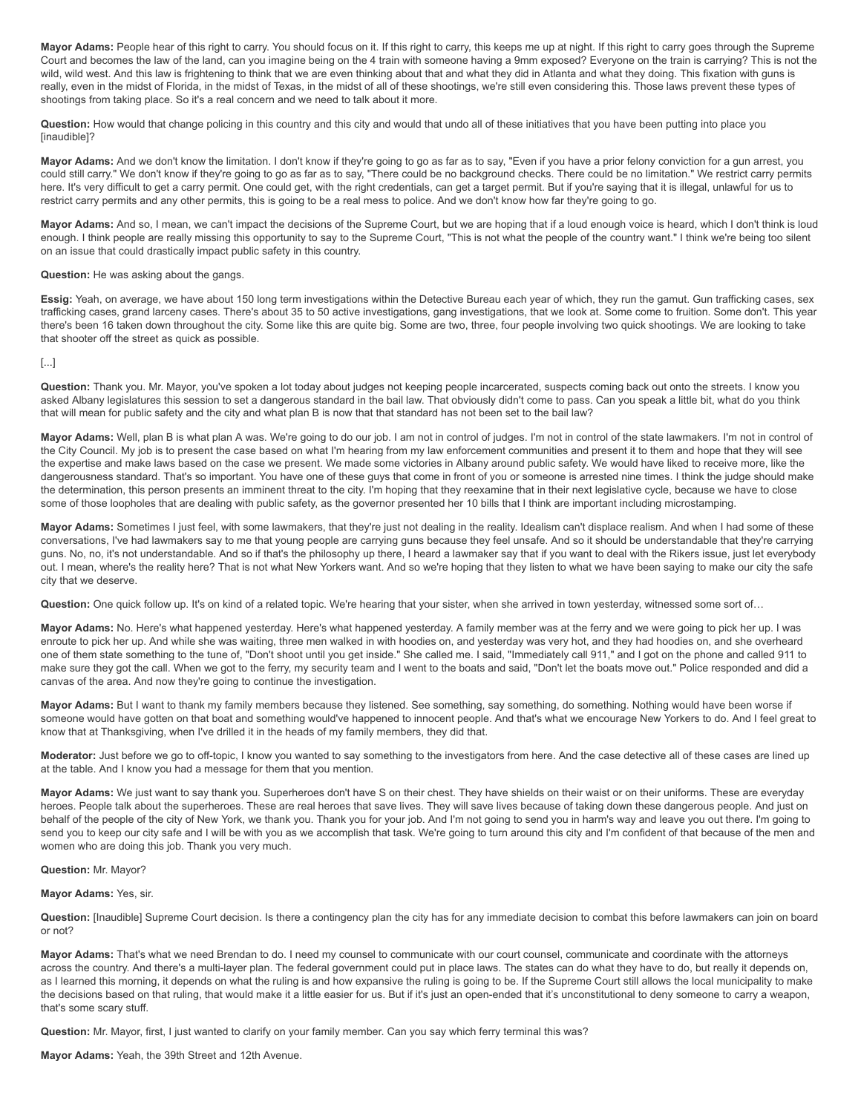**Mayor Adams:** People hear of this right to carry. You should focus on it. If this right to carry, this keeps me up at night. If this right to carry goes through the Supreme Court and becomes the law of the land, can you imagine being on the 4 train with someone having a 9mm exposed? Everyone on the train is carrying? This is not the wild, wild west. And this law is frightening to think that we are even thinking about that and what they did in Atlanta and what they doing. This fixation with guns is really, even in the midst of Florida, in the midst of Texas, in the midst of all of these shootings, we're still even considering this. Those laws prevent these types of shootings from taking place. So it's a real concern and we need to talk about it more.

**Question:** How would that change policing in this country and this city and would that undo all of these initiatives that you have been putting into place you [inaudible]?

**Mayor Adams:** And we don't know the limitation. I don't know if they're going to go as far as to say, "Even if you have a prior felony conviction for a gun arrest, you could still carry." We don't know if they're going to go as far as to say, "There could be no background checks. There could be no limitation." We restrict carry permits here. It's very difficult to get a carry permit. One could get, with the right credentials, can get a target permit. But if you're saying that it is illegal, unlawful for us to restrict carry permits and any other permits, this is going to be a real mess to police. And we don't know how far they're going to go.

Mayor Adams: And so, I mean, we can't impact the decisions of the Supreme Court, but we are hoping that if a loud enough voice is heard, which I don't think is loud enough. I think people are really missing this opportunity to say to the Supreme Court. "This is not what the people of the country want." I think we're being too silent on an issue that could drastically impact public safety in this country.

#### **Question:** He was asking about the gangs.

**Essig:** Yeah, on average, we have about 150 long term investigations within the Detective Bureau each year of which, they run the gamut. Gun trafficking cases, sex trafficking cases, grand larceny cases. There's about 35 to 50 active investigations, gang investigations, that we look at. Some come to fruition. Some don't. This year there's been 16 taken down throughout the city. Some like this are quite big. Some are two, three, four people involving two quick shootings. We are looking to take that shooter off the street as quick as possible.

## [...]

**Question:** Thank you. Mr. Mayor, you've spoken a lot today about judges not keeping people incarcerated, suspects coming back out onto the streets. I know you asked Albany legislatures this session to set a dangerous standard in the bail law. That obviously didn't come to pass. Can you speak a little bit, what do you think that will mean for public safety and the city and what plan B is now that that standard has not been set to the bail law?

**Mayor Adams:** Well, plan B is what plan A was. We're going to do our job. I am not in control of judges. I'm not in control of the state lawmakers. I'm not in control of the City Council. My job is to present the case based on what I'm hearing from my law enforcement communities and present it to them and hope that they will see the expertise and make laws based on the case we present. We made some victories in Albany around public safety. We would have liked to receive more, like the dangerousness standard. That's so important. You have one of these guys that come in front of you or someone is arrested nine times. I think the judge should make the determination, this person presents an imminent threat to the city. I'm hoping that they reexamine that in their next legislative cycle, because we have to close some of those loopholes that are dealing with public safety, as the governor presented her 10 bills that I think are important including microstamping.

Mayor Adams: Sometimes I just feel, with some lawmakers, that they're just not dealing in the reality. Idealism can't displace realism. And when I had some of these conversations, I've had lawmakers say to me that young people are carrying guns because they feel unsafe. And so it should be understandable that they're carrying guns. No, no, it's not understandable. And so if that's the philosophy up there, I heard a lawmaker say that if you want to deal with the Rikers issue, just let everybody out. I mean, where's the reality here? That is not what New Yorkers want. And so we're hoping that they listen to what we have been saying to make our city the safe city that we deserve.

**Question:** One quick follow up. It's on kind of a related topic. We're hearing that your sister, when she arrived in town yesterday, witnessed some sort of…

**Mayor Adams:** No. Here's what happened yesterday. Here's what happened yesterday. A family member was at the ferry and we were going to pick her up. I was enroute to pick her up. And while she was waiting, three men walked in with hoodies on, and yesterday was very hot, and they had hoodies on, and she overheard one of them state something to the tune of, "Don't shoot until you get inside." She called me. I said, "Immediately call 911," and I got on the phone and called 911 to make sure they got the call. When we got to the ferry, my security team and I went to the boats and said, "Don't let the boats move out." Police responded and did a canvas of the area. And now they're going to continue the investigation.

**Mayor Adams:** But I want to thank my family members because they listened. See something, say something, do something. Nothing would have been worse if someone would have gotten on that boat and something would've happened to innocent people. And that's what we encourage New Yorkers to do. And I feel great to know that at Thanksgiving, when I've drilled it in the heads of my family members, they did that.

**Moderator:** Just before we go to off-topic, I know you wanted to say something to the investigators from here. And the case detective all of these cases are lined up at the table. And I know you had a message for them that you mention.

**Mayor Adams:** We just want to say thank you. Superheroes don't have S on their chest. They have shields on their waist or on their uniforms. These are everyday heroes. People talk about the superheroes. These are real heroes that save lives. They will save lives because of taking down these dangerous people. And just on behalf of the people of the city of New York, we thank you. Thank you for your job. And I'm not going to send you in harm's way and leave you out there. I'm going to send you to keep our city safe and I will be with you as we accomplish that task. We're going to turn around this city and I'm confident of that because of the men and women who are doing this job. Thank you very much.

### **Question:** Mr. Mayor?

**Mayor Adams:** Yes, sir.

**Question:** [Inaudible] Supreme Court decision. Is there a contingency plan the city has for any immediate decision to combat this before lawmakers can join on board or not?

**Mayor Adams:** That's what we need Brendan to do. I need my counsel to communicate with our court counsel, communicate and coordinate with the attorneys across the country. And there's a multi-layer plan. The federal government could put in place laws. The states can do what they have to do, but really it depends on, as I learned this morning, it depends on what the ruling is and how expansive the ruling is going to be. If the Supreme Court still allows the local municipality to make the decisions based on that ruling, that would make it a little easier for us. But if it's just an open-ended that it's unconstitutional to deny someone to carry a weapon, that's some scary stuff.

**Question:** Mr. Mayor, first, I just wanted to clarify on your family member. Can you say which ferry terminal this was?

**Mayor Adams:** Yeah, the 39th Street and 12th Avenue.